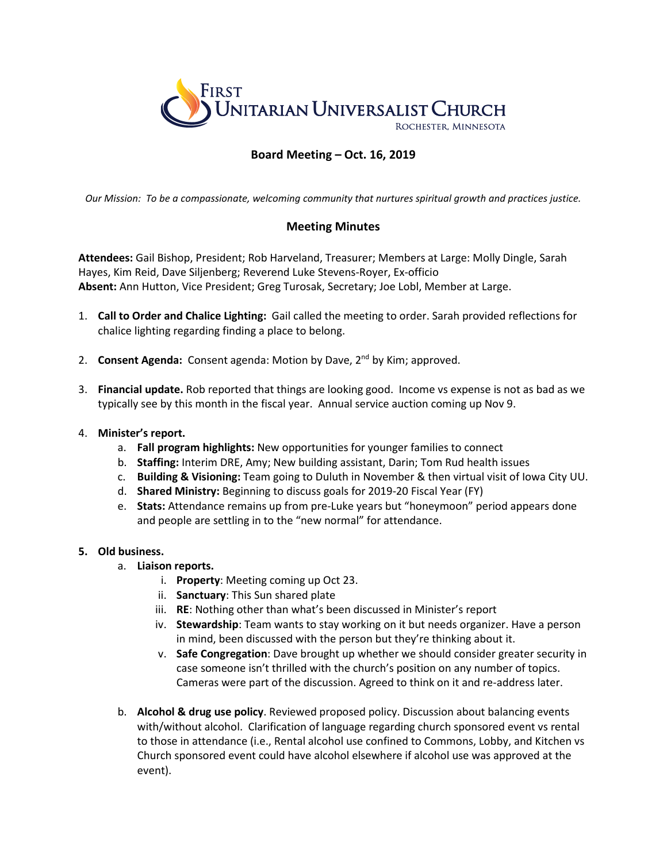

# **Board Meeting – Oct. 16, 2019**

*Our Mission: To be a compassionate, welcoming community that nurtures spiritual growth and practices justice.*

# **Meeting Minutes**

**Attendees:** Gail Bishop, President; Rob Harveland, Treasurer; Members at Large: Molly Dingle, Sarah Hayes, Kim Reid, Dave Siljenberg; Reverend Luke Stevens-Royer, Ex-officio **Absent:** Ann Hutton, Vice President; Greg Turosak, Secretary; Joe Lobl, Member at Large.

- 1. **Call to Order and Chalice Lighting:** Gail called the meeting to order. Sarah provided reflections for chalice lighting regarding finding a place to belong.
- 2. **Consent Agenda:** Consent agenda: Motion by Dave, 2nd by Kim; approved.
- 3. **Financial update.** Rob reported that things are looking good. Income vs expense is not as bad as we typically see by this month in the fiscal year. Annual service auction coming up Nov 9.

#### 4. **Minister's report.**

- a. **Fall program highlights:** New opportunities for younger families to connect
- b. **Staffing:** Interim DRE, Amy; New building assistant, Darin; Tom Rud health issues
- c. **Building & Visioning:** Team going to Duluth in November & then virtual visit of Iowa City UU.
- d. **Shared Ministry:** Beginning to discuss goals for 2019-20 Fiscal Year (FY)
- e. **Stats:** Attendance remains up from pre-Luke years but "honeymoon" period appears done and people are settling in to the "new normal" for attendance.

## **5. Old business.**

- a. **Liaison reports.**
	- i. **Property**: Meeting coming up Oct 23.
	- ii. **Sanctuary**: This Sun shared plate
	- iii. **RE**: Nothing other than what's been discussed in Minister's report
	- iv. **Stewardship**: Team wants to stay working on it but needs organizer. Have a person in mind, been discussed with the person but they're thinking about it.
	- v. **Safe Congregation**: Dave brought up whether we should consider greater security in case someone isn't thrilled with the church's position on any number of topics. Cameras were part of the discussion. Agreed to think on it and re-address later.
- b. **Alcohol & drug use policy**. Reviewed proposed policy. Discussion about balancing events with/without alcohol. Clarification of language regarding church sponsored event vs rental to those in attendance (i.e., Rental alcohol use confined to Commons, Lobby, and Kitchen vs Church sponsored event could have alcohol elsewhere if alcohol use was approved at the event).